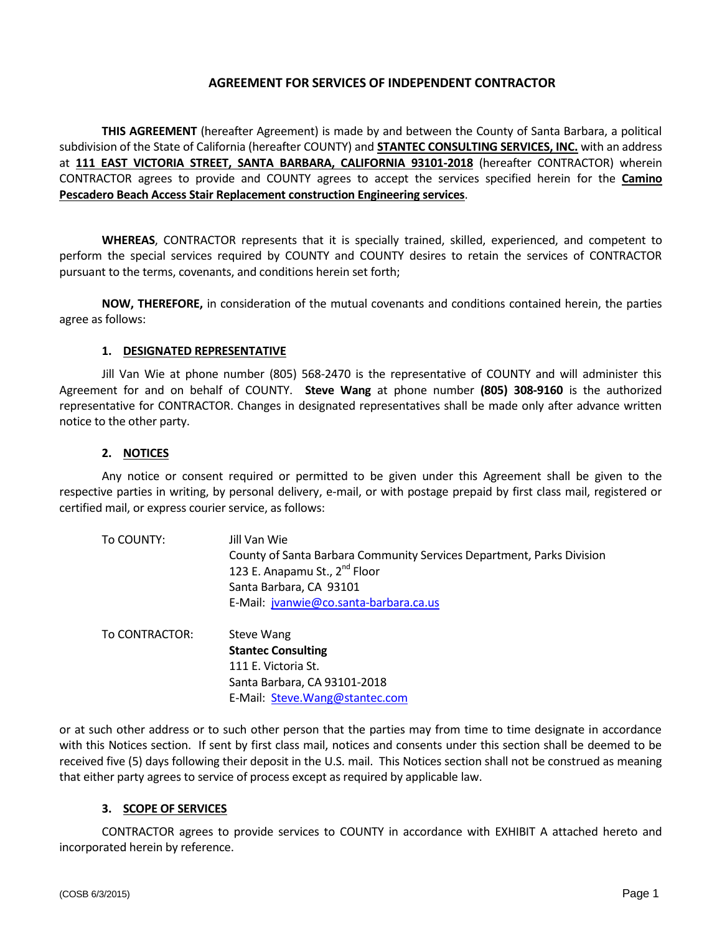## **AGREEMENT FOR SERVICES OF INDEPENDENT CONTRACTOR**

**THIS AGREEMENT** (hereafter Agreement) is made by and between the County of Santa Barbara, a political subdivision of the State of California (hereafter COUNTY) and **STANTEC CONSULTING SERVICES, INC.** with an address at **111 EAST VICTORIA STREET, SANTA BARBARA, CALIFORNIA 93101-2018** (hereafter CONTRACTOR) wherein CONTRACTOR agrees to provide and COUNTY agrees to accept the services specified herein for the **Camino Pescadero Beach Access Stair Replacement construction Engineering services**.

**WHEREAS**, CONTRACTOR represents that it is specially trained, skilled, experienced, and competent to perform the special services required by COUNTY and COUNTY desires to retain the services of CONTRACTOR pursuant to the terms, covenants, and conditions herein set forth;

**NOW, THEREFORE,** in consideration of the mutual covenants and conditions contained herein, the parties agree as follows:

#### **1. DESIGNATED REPRESENTATIVE**

Jill Van Wie at phone number (805) 568-2470 is the representative of COUNTY and will administer this Agreement for and on behalf of COUNTY. **Steve Wang** at phone number **(805) 308-9160** is the authorized representative for CONTRACTOR. Changes in designated representatives shall be made only after advance written notice to the other party.

#### **2. NOTICES**

Any notice or consent required or permitted to be given under this Agreement shall be given to the respective parties in writing, by personal delivery, e-mail, or with postage prepaid by first class mail, registered or certified mail, or express courier service, as follows:

| To COUNTY: | Jill Van Wie                                                          |
|------------|-----------------------------------------------------------------------|
|            | County of Santa Barbara Community Services Department, Parks Division |
|            | 123 E. Anapamu St., 2 <sup>nd</sup> Floor                             |
|            | Santa Barbara, CA 93101                                               |
|            | E-Mail: jvanwie@co.santa-barbara.ca.us                                |

To CONTRACTOR: Steve Wang **Stantec Consulting** 111 E. Victoria St. Santa Barbara, CA 93101-2018 E-Mail: [Steve.Wang@stantec.com](mailto:Steve.Wang@stantec.com)

or at such other address or to such other person that the parties may from time to time designate in accordance with this Notices section. If sent by first class mail, notices and consents under this section shall be deemed to be received five (5) days following their deposit in the U.S. mail. This Notices section shall not be construed as meaning that either party agrees to service of process except as required by applicable law.

#### **3. SCOPE OF SERVICES**

CONTRACTOR agrees to provide services to COUNTY in accordance with EXHIBIT A attached hereto and incorporated herein by reference.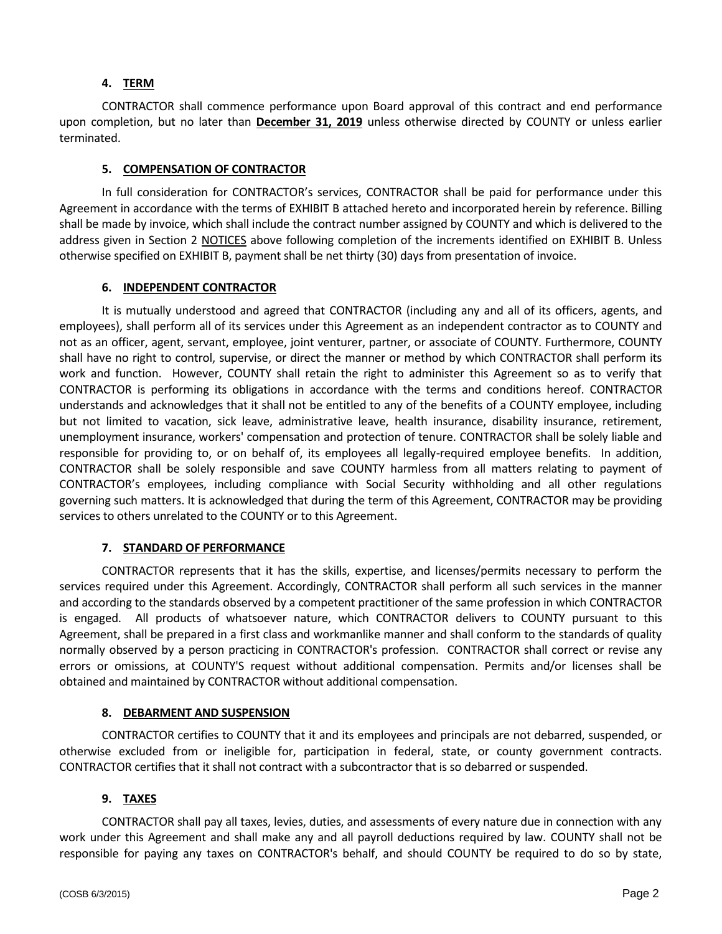# **4. TERM**

CONTRACTOR shall commence performance upon Board approval of this contract and end performance upon completion, but no later than **December 31, 2019** unless otherwise directed by COUNTY or unless earlier terminated.

# **5. COMPENSATION OF CONTRACTOR**

In full consideration for CONTRACTOR's services, CONTRACTOR shall be paid for performance under this Agreement in accordance with the terms of EXHIBIT B attached hereto and incorporated herein by reference. Billing shall be made by invoice, which shall include the contract number assigned by COUNTY and which is delivered to the address given in Section 2 NOTICES above following completion of the increments identified on EXHIBIT B. Unless otherwise specified on EXHIBIT B, payment shall be net thirty (30) days from presentation of invoice.

# **6. INDEPENDENT CONTRACTOR**

It is mutually understood and agreed that CONTRACTOR (including any and all of its officers, agents, and employees), shall perform all of its services under this Agreement as an independent contractor as to COUNTY and not as an officer, agent, servant, employee, joint venturer, partner, or associate of COUNTY. Furthermore, COUNTY shall have no right to control, supervise, or direct the manner or method by which CONTRACTOR shall perform its work and function. However, COUNTY shall retain the right to administer this Agreement so as to verify that CONTRACTOR is performing its obligations in accordance with the terms and conditions hereof. CONTRACTOR understands and acknowledges that it shall not be entitled to any of the benefits of a COUNTY employee, including but not limited to vacation, sick leave, administrative leave, health insurance, disability insurance, retirement, unemployment insurance, workers' compensation and protection of tenure. CONTRACTOR shall be solely liable and responsible for providing to, or on behalf of, its employees all legally-required employee benefits. In addition, CONTRACTOR shall be solely responsible and save COUNTY harmless from all matters relating to payment of CONTRACTOR's employees, including compliance with Social Security withholding and all other regulations governing such matters. It is acknowledged that during the term of this Agreement, CONTRACTOR may be providing services to others unrelated to the COUNTY or to this Agreement.

## **7. STANDARD OF PERFORMANCE**

CONTRACTOR represents that it has the skills, expertise, and licenses/permits necessary to perform the services required under this Agreement. Accordingly, CONTRACTOR shall perform all such services in the manner and according to the standards observed by a competent practitioner of the same profession in which CONTRACTOR is engaged. All products of whatsoever nature, which CONTRACTOR delivers to COUNTY pursuant to this Agreement, shall be prepared in a first class and workmanlike manner and shall conform to the standards of quality normally observed by a person practicing in CONTRACTOR's profession. CONTRACTOR shall correct or revise any errors or omissions, at COUNTY'S request without additional compensation. Permits and/or licenses shall be obtained and maintained by CONTRACTOR without additional compensation.

## **8. DEBARMENT AND SUSPENSION**

CONTRACTOR certifies to COUNTY that it and its employees and principals are not debarred, suspended, or otherwise excluded from or ineligible for, participation in federal, state, or county government contracts. CONTRACTOR certifies that it shall not contract with a subcontractor that is so debarred or suspended.

# **9. TAXES**

CONTRACTOR shall pay all taxes, levies, duties, and assessments of every nature due in connection with any work under this Agreement and shall make any and all payroll deductions required by law. COUNTY shall not be responsible for paying any taxes on CONTRACTOR's behalf, and should COUNTY be required to do so by state,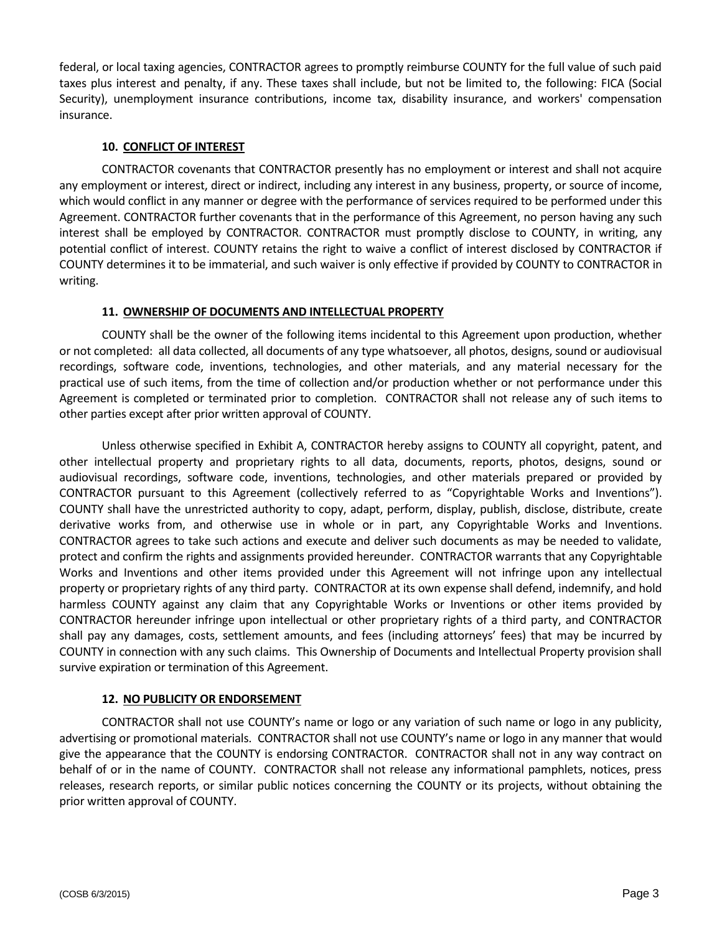federal, or local taxing agencies, CONTRACTOR agrees to promptly reimburse COUNTY for the full value of such paid taxes plus interest and penalty, if any. These taxes shall include, but not be limited to, the following: FICA (Social Security), unemployment insurance contributions, income tax, disability insurance, and workers' compensation insurance.

# **10. CONFLICT OF INTEREST**

CONTRACTOR covenants that CONTRACTOR presently has no employment or interest and shall not acquire any employment or interest, direct or indirect, including any interest in any business, property, or source of income, which would conflict in any manner or degree with the performance of services required to be performed under this Agreement. CONTRACTOR further covenants that in the performance of this Agreement, no person having any such interest shall be employed by CONTRACTOR. CONTRACTOR must promptly disclose to COUNTY, in writing, any potential conflict of interest. COUNTY retains the right to waive a conflict of interest disclosed by CONTRACTOR if COUNTY determines it to be immaterial, and such waiver is only effective if provided by COUNTY to CONTRACTOR in writing.

# **11. OWNERSHIP OF DOCUMENTS AND INTELLECTUAL PROPERTY**

COUNTY shall be the owner of the following items incidental to this Agreement upon production, whether or not completed: all data collected, all documents of any type whatsoever, all photos, designs, sound or audiovisual recordings, software code, inventions, technologies, and other materials, and any material necessary for the practical use of such items, from the time of collection and/or production whether or not performance under this Agreement is completed or terminated prior to completion. CONTRACTOR shall not release any of such items to other parties except after prior written approval of COUNTY.

Unless otherwise specified in Exhibit A, CONTRACTOR hereby assigns to COUNTY all copyright, patent, and other intellectual property and proprietary rights to all data, documents, reports, photos, designs, sound or audiovisual recordings, software code, inventions, technologies, and other materials prepared or provided by CONTRACTOR pursuant to this Agreement (collectively referred to as "Copyrightable Works and Inventions"). COUNTY shall have the unrestricted authority to copy, adapt, perform, display, publish, disclose, distribute, create derivative works from, and otherwise use in whole or in part, any Copyrightable Works and Inventions. CONTRACTOR agrees to take such actions and execute and deliver such documents as may be needed to validate, protect and confirm the rights and assignments provided hereunder. CONTRACTOR warrants that any Copyrightable Works and Inventions and other items provided under this Agreement will not infringe upon any intellectual property or proprietary rights of any third party. CONTRACTOR at its own expense shall defend, indemnify, and hold harmless COUNTY against any claim that any Copyrightable Works or Inventions or other items provided by CONTRACTOR hereunder infringe upon intellectual or other proprietary rights of a third party, and CONTRACTOR shall pay any damages, costs, settlement amounts, and fees (including attorneys' fees) that may be incurred by COUNTY in connection with any such claims. This Ownership of Documents and Intellectual Property provision shall survive expiration or termination of this Agreement.

## **12. NO PUBLICITY OR ENDORSEMENT**

CONTRACTOR shall not use COUNTY's name or logo or any variation of such name or logo in any publicity, advertising or promotional materials. CONTRACTOR shall not use COUNTY's name or logo in any manner that would give the appearance that the COUNTY is endorsing CONTRACTOR. CONTRACTOR shall not in any way contract on behalf of or in the name of COUNTY. CONTRACTOR shall not release any informational pamphlets, notices, press releases, research reports, or similar public notices concerning the COUNTY or its projects, without obtaining the prior written approval of COUNTY.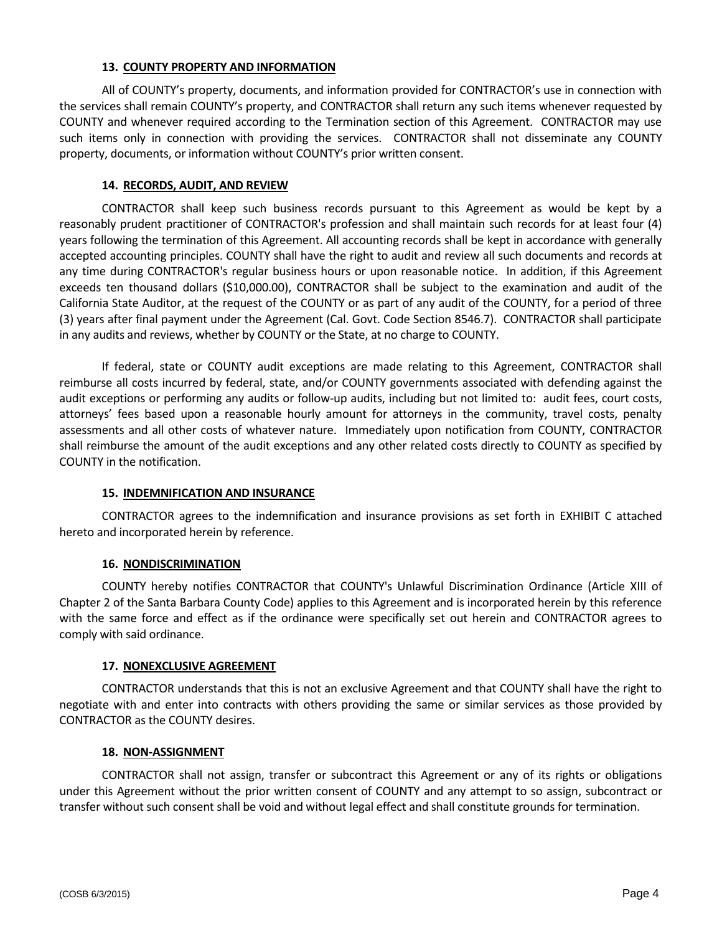## **13. COUNTY PROPERTY AND INFORMATION**

All of COUNTY's property, documents, and information provided for CONTRACTOR's use in connection with the services shall remain COUNTY's property, and CONTRACTOR shall return any such items whenever requested by COUNTY and whenever required according to the Termination section of this Agreement. CONTRACTOR may use such items only in connection with providing the services. CONTRACTOR shall not disseminate any COUNTY property, documents, or information without COUNTY's prior written consent.

# **14. RECORDS, AUDIT, AND REVIEW**

CONTRACTOR shall keep such business records pursuant to this Agreement as would be kept by a reasonably prudent practitioner of CONTRACTOR's profession and shall maintain such records for at least four (4) years following the termination of this Agreement. All accounting records shall be kept in accordance with generally accepted accounting principles. COUNTY shall have the right to audit and review all such documents and records at any time during CONTRACTOR's regular business hours or upon reasonable notice. In addition, if this Agreement exceeds ten thousand dollars (\$10,000.00), CONTRACTOR shall be subject to the examination and audit of the California State Auditor, at the request of the COUNTY or as part of any audit of the COUNTY, for a period of three (3) years after final payment under the Agreement (Cal. Govt. Code Section 8546.7). CONTRACTOR shall participate in any audits and reviews, whether by COUNTY or the State, at no charge to COUNTY.

If federal, state or COUNTY audit exceptions are made relating to this Agreement, CONTRACTOR shall reimburse all costs incurred by federal, state, and/or COUNTY governments associated with defending against the audit exceptions or performing any audits or follow-up audits, including but not limited to: audit fees, court costs, attorneys' fees based upon a reasonable hourly amount for attorneys in the community, travel costs, penalty assessments and all other costs of whatever nature. Immediately upon notification from COUNTY, CONTRACTOR shall reimburse the amount of the audit exceptions and any other related costs directly to COUNTY as specified by COUNTY in the notification.

## **15. INDEMNIFICATION AND INSURANCE**

CONTRACTOR agrees to the indemnification and insurance provisions as set forth in EXHIBIT C attached hereto and incorporated herein by reference.

## **16. NONDISCRIMINATION**

COUNTY hereby notifies CONTRACTOR that COUNTY's Unlawful Discrimination Ordinance (Article XIII of Chapter 2 of the Santa Barbara County Code) applies to this Agreement and is incorporated herein by this reference with the same force and effect as if the ordinance were specifically set out herein and CONTRACTOR agrees to comply with said ordinance.

## **17. NONEXCLUSIVE AGREEMENT**

CONTRACTOR understands that this is not an exclusive Agreement and that COUNTY shall have the right to negotiate with and enter into contracts with others providing the same or similar services as those provided by CONTRACTOR as the COUNTY desires.

## **18. NON-ASSIGNMENT**

CONTRACTOR shall not assign, transfer or subcontract this Agreement or any of its rights or obligations under this Agreement without the prior written consent of COUNTY and any attempt to so assign, subcontract or transfer without such consent shall be void and without legal effect and shall constitute grounds for termination.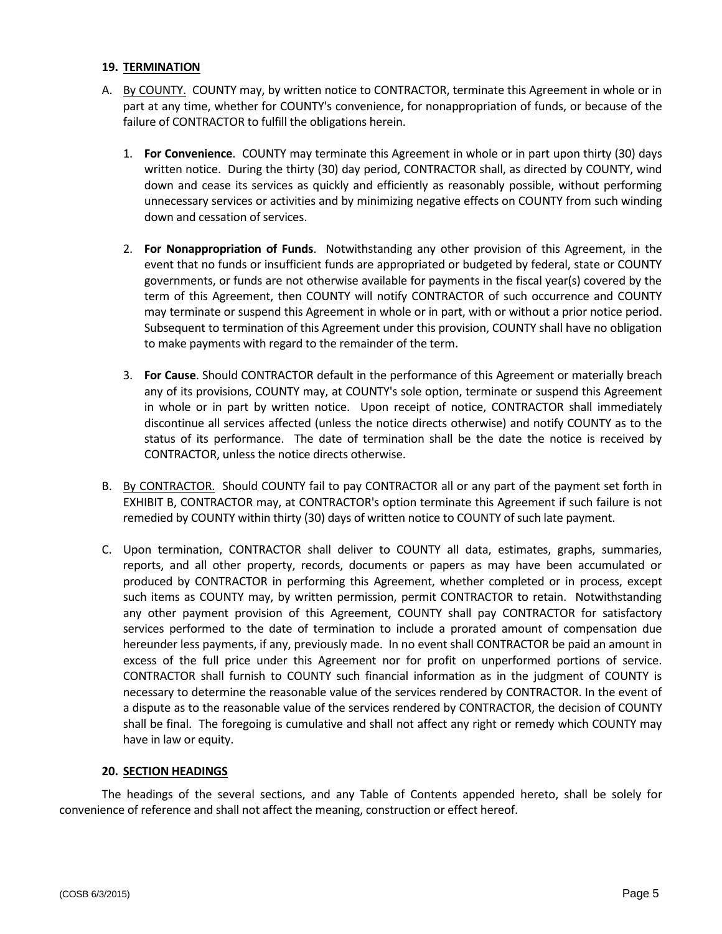#### **19. TERMINATION**

- A. By COUNTY. COUNTY may, by written notice to CONTRACTOR, terminate this Agreement in whole or in part at any time, whether for COUNTY's convenience, for nonappropriation of funds, or because of the failure of CONTRACTOR to fulfill the obligations herein.
	- 1. **For Convenience**. COUNTY may terminate this Agreement in whole or in part upon thirty (30) days written notice. During the thirty (30) day period, CONTRACTOR shall, as directed by COUNTY, wind down and cease its services as quickly and efficiently as reasonably possible, without performing unnecessary services or activities and by minimizing negative effects on COUNTY from such winding down and cessation of services.
	- 2. **For Nonappropriation of Funds**. Notwithstanding any other provision of this Agreement, in the event that no funds or insufficient funds are appropriated or budgeted by federal, state or COUNTY governments, or funds are not otherwise available for payments in the fiscal year(s) covered by the term of this Agreement, then COUNTY will notify CONTRACTOR of such occurrence and COUNTY may terminate or suspend this Agreement in whole or in part, with or without a prior notice period. Subsequent to termination of this Agreement under this provision, COUNTY shall have no obligation to make payments with regard to the remainder of the term.
	- 3. **For Cause**. Should CONTRACTOR default in the performance of this Agreement or materially breach any of its provisions, COUNTY may, at COUNTY's sole option, terminate or suspend this Agreement in whole or in part by written notice. Upon receipt of notice, CONTRACTOR shall immediately discontinue all services affected (unless the notice directs otherwise) and notify COUNTY as to the status of its performance. The date of termination shall be the date the notice is received by CONTRACTOR, unless the notice directs otherwise.
- B. By CONTRACTOR. Should COUNTY fail to pay CONTRACTOR all or any part of the payment set forth in EXHIBIT B, CONTRACTOR may, at CONTRACTOR's option terminate this Agreement if such failure is not remedied by COUNTY within thirty (30) days of written notice to COUNTY of such late payment.
- C. Upon termination, CONTRACTOR shall deliver to COUNTY all data, estimates, graphs, summaries, reports, and all other property, records, documents or papers as may have been accumulated or produced by CONTRACTOR in performing this Agreement, whether completed or in process, except such items as COUNTY may, by written permission, permit CONTRACTOR to retain. Notwithstanding any other payment provision of this Agreement, COUNTY shall pay CONTRACTOR for satisfactory services performed to the date of termination to include a prorated amount of compensation due hereunder less payments, if any, previously made. In no event shall CONTRACTOR be paid an amount in excess of the full price under this Agreement nor for profit on unperformed portions of service. CONTRACTOR shall furnish to COUNTY such financial information as in the judgment of COUNTY is necessary to determine the reasonable value of the services rendered by CONTRACTOR. In the event of a dispute as to the reasonable value of the services rendered by CONTRACTOR, the decision of COUNTY shall be final. The foregoing is cumulative and shall not affect any right or remedy which COUNTY may have in law or equity.

## **20. SECTION HEADINGS**

The headings of the several sections, and any Table of Contents appended hereto, shall be solely for convenience of reference and shall not affect the meaning, construction or effect hereof.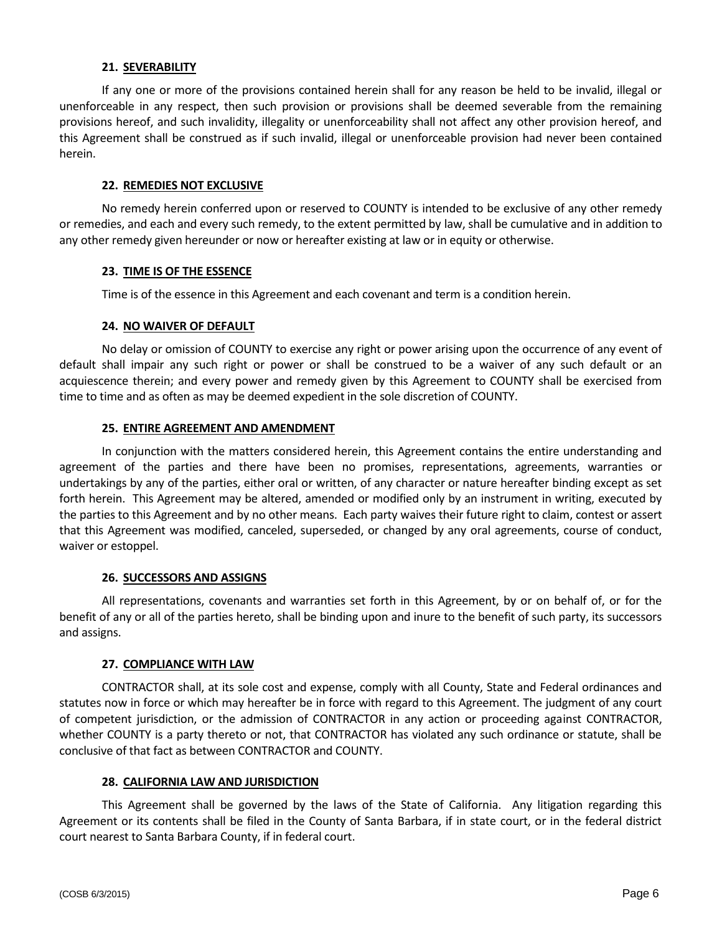#### **21. SEVERABILITY**

If any one or more of the provisions contained herein shall for any reason be held to be invalid, illegal or unenforceable in any respect, then such provision or provisions shall be deemed severable from the remaining provisions hereof, and such invalidity, illegality or unenforceability shall not affect any other provision hereof, and this Agreement shall be construed as if such invalid, illegal or unenforceable provision had never been contained herein.

#### **22. REMEDIES NOT EXCLUSIVE**

No remedy herein conferred upon or reserved to COUNTY is intended to be exclusive of any other remedy or remedies, and each and every such remedy, to the extent permitted by law, shall be cumulative and in addition to any other remedy given hereunder or now or hereafter existing at law or in equity or otherwise.

#### **23. TIME IS OF THE ESSENCE**

Time is of the essence in this Agreement and each covenant and term is a condition herein.

#### **24. NO WAIVER OF DEFAULT**

No delay or omission of COUNTY to exercise any right or power arising upon the occurrence of any event of default shall impair any such right or power or shall be construed to be a waiver of any such default or an acquiescence therein; and every power and remedy given by this Agreement to COUNTY shall be exercised from time to time and as often as may be deemed expedient in the sole discretion of COUNTY.

## **25. ENTIRE AGREEMENT AND AMENDMENT**

In conjunction with the matters considered herein, this Agreement contains the entire understanding and agreement of the parties and there have been no promises, representations, agreements, warranties or undertakings by any of the parties, either oral or written, of any character or nature hereafter binding except as set forth herein. This Agreement may be altered, amended or modified only by an instrument in writing, executed by the parties to this Agreement and by no other means. Each party waives their future right to claim, contest or assert that this Agreement was modified, canceled, superseded, or changed by any oral agreements, course of conduct, waiver or estoppel.

## **26. SUCCESSORS AND ASSIGNS**

All representations, covenants and warranties set forth in this Agreement, by or on behalf of, or for the benefit of any or all of the parties hereto, shall be binding upon and inure to the benefit of such party, its successors and assigns.

## **27. COMPLIANCE WITH LAW**

CONTRACTOR shall, at its sole cost and expense, comply with all County, State and Federal ordinances and statutes now in force or which may hereafter be in force with regard to this Agreement. The judgment of any court of competent jurisdiction, or the admission of CONTRACTOR in any action or proceeding against CONTRACTOR, whether COUNTY is a party thereto or not, that CONTRACTOR has violated any such ordinance or statute, shall be conclusive of that fact as between CONTRACTOR and COUNTY.

## **28. CALIFORNIA LAW AND JURISDICTION**

This Agreement shall be governed by the laws of the State of California. Any litigation regarding this Agreement or its contents shall be filed in the County of Santa Barbara, if in state court, or in the federal district court nearest to Santa Barbara County, if in federal court.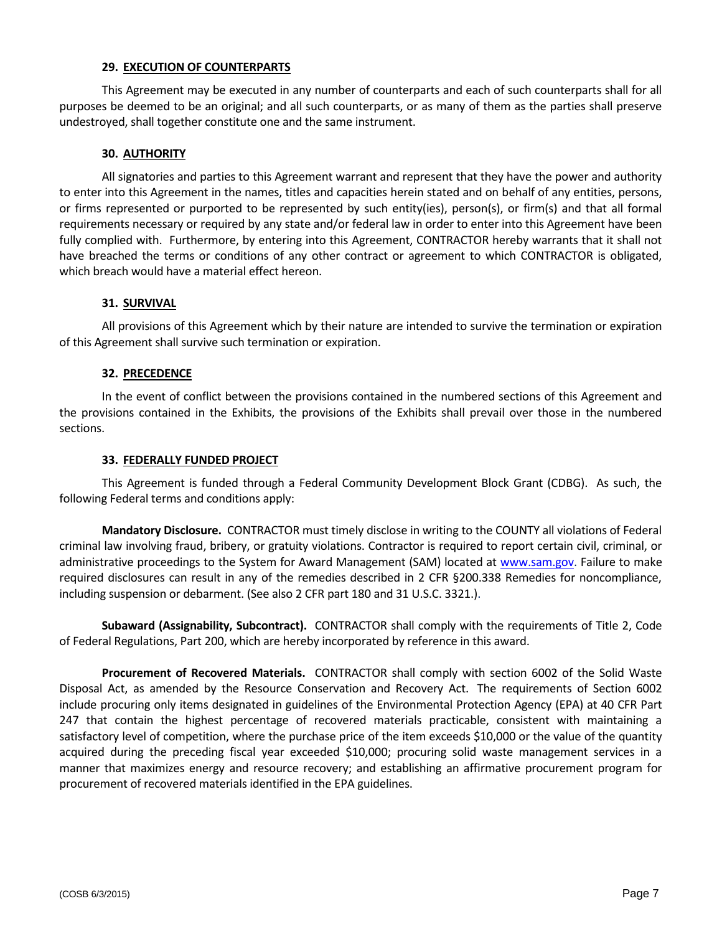#### **29. EXECUTION OF COUNTERPARTS**

This Agreement may be executed in any number of counterparts and each of such counterparts shall for all purposes be deemed to be an original; and all such counterparts, or as many of them as the parties shall preserve undestroyed, shall together constitute one and the same instrument.

#### **30. AUTHORITY**

All signatories and parties to this Agreement warrant and represent that they have the power and authority to enter into this Agreement in the names, titles and capacities herein stated and on behalf of any entities, persons, or firms represented or purported to be represented by such entity(ies), person(s), or firm(s) and that all formal requirements necessary or required by any state and/or federal law in order to enter into this Agreement have been fully complied with. Furthermore, by entering into this Agreement, CONTRACTOR hereby warrants that it shall not have breached the terms or conditions of any other contract or agreement to which CONTRACTOR is obligated, which breach would have a material effect hereon.

#### **31. SURVIVAL**

All provisions of this Agreement which by their nature are intended to survive the termination or expiration of this Agreement shall survive such termination or expiration.

#### **32. PRECEDENCE**

In the event of conflict between the provisions contained in the numbered sections of this Agreement and the provisions contained in the Exhibits, the provisions of the Exhibits shall prevail over those in the numbered sections.

#### **33. FEDERALLY FUNDED PROJECT**

This Agreement is funded through a Federal Community Development Block Grant (CDBG). As such, the following Federal terms and conditions apply:

**Mandatory Disclosure.** CONTRACTOR must timely disclose in writing to the COUNTY all violations of Federal criminal law involving fraud, bribery, or gratuity violations. Contractor is required to report certain civil, criminal, or administrative proceedings to the System for Award Management (SAM) located at [www.sam.gov.](http://www.sam.gov/) Failure to make required disclosures can result in any of the remedies described in 2 CFR §200.338 Remedies for noncompliance, including suspension or debarment. (See also 2 CFR part 180 and 31 U.S.C. 3321.).

**Subaward (Assignability, Subcontract).** CONTRACTOR shall comply with the requirements of Title 2, Code of Federal Regulations, Part 200, which are hereby incorporated by reference in this award.

**Procurement of Recovered Materials.** CONTRACTOR shall comply with section 6002 of the Solid Waste Disposal Act, as amended by the Resource Conservation and Recovery Act. The requirements of Section 6002 include procuring only items designated in guidelines of the Environmental Protection Agency (EPA) at 40 CFR Part 247 that contain the highest percentage of recovered materials practicable, consistent with maintaining a satisfactory level of competition, where the purchase price of the item exceeds \$10,000 or the value of the quantity acquired during the preceding fiscal year exceeded \$10,000; procuring solid waste management services in a manner that maximizes energy and resource recovery; and establishing an affirmative procurement program for procurement of recovered materials identified in the EPA guidelines.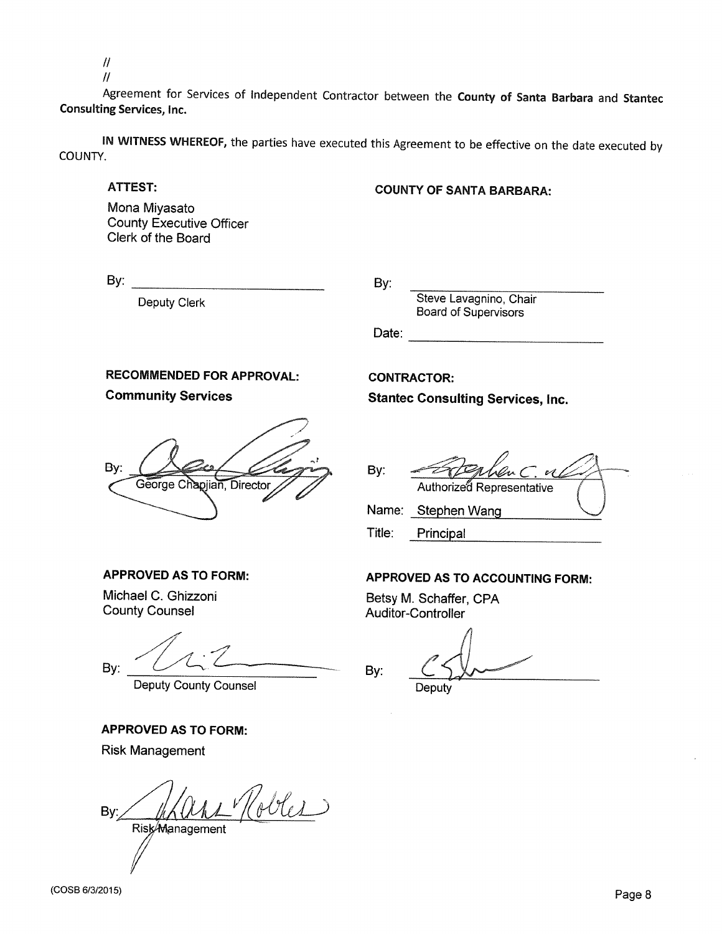$\mathcal{U}$ 

 $\mathcal{U}$ 

Agreement for Services of Independent Contractor between the County of Santa Barbara and Stantec **Consulting Services, Inc.** 

IN WITNESS WHEREOF, the parties have executed this Agreement to be effective on the date executed by COUNTY.

#### **ATTEST:**

# **COUNTY OF SANTA BARBARA:**

Mona Miyasato **County Executive Officer** Clerk of the Board

 $\mathsf{By:}$ 

**Deputy Clerk** 

By:

Steve Lavagnino, Chair **Board of Supervisors** 

**Stantec Consulting Services, Inc.** 

Date:

By:

Title:

By:

**CONTRACTOR:** 

# **RECOMMENDED FOR APPROVAL:**

**Community Services** 

Bv: George Chapjian, Director

# **APPROVED AS TO FORM:**

Michael C. Ghizzoni **County Counsel** 

By:

**Deputy County Counsel** 

# **APPROVED AS TO FORM:**

**Risk Management** 

obles By:

Risk<sub>Management</sub>

**APPROVED AS TO ACCOUNTING FORM:** 

Authorized Representative

Betsy M. Schaffer, CPA **Auditor-Controller** 

Name: Stephen Wang

Principal

Deputy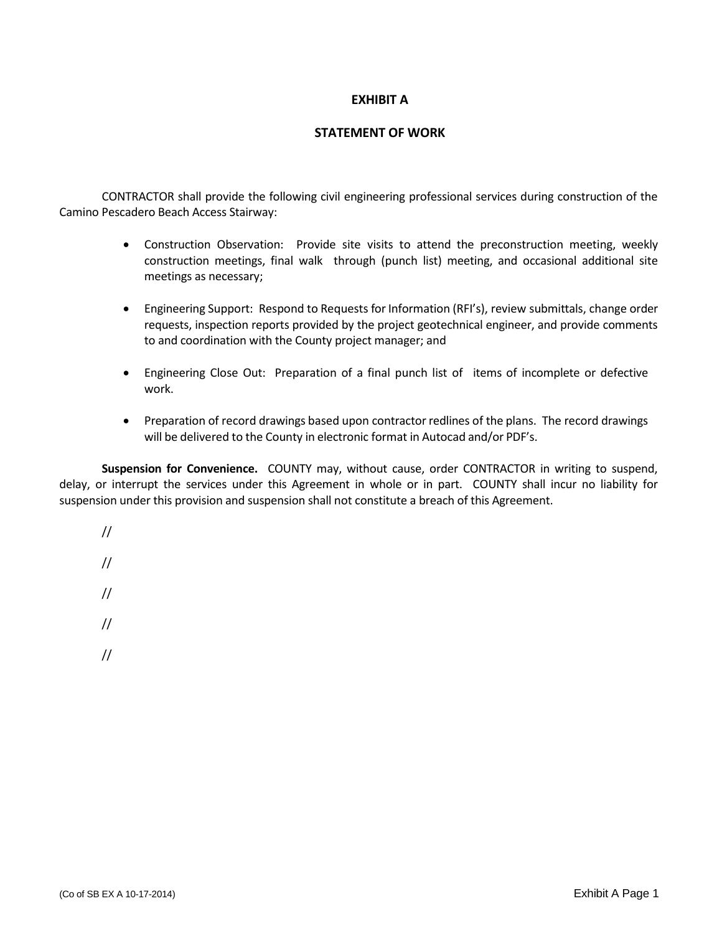# **EXHIBIT A**

# **STATEMENT OF WORK**

CONTRACTOR shall provide the following civil engineering professional services during construction of the Camino Pescadero Beach Access Stairway:

- Construction Observation: Provide site visits to attend the preconstruction meeting, weekly construction meetings, final walk through (punch list) meeting, and occasional additional site meetings as necessary;
- Engineering Support: Respond to Requests for Information (RFI's), review submittals, change order requests, inspection reports provided by the project geotechnical engineer, and provide comments to and coordination with the County project manager; and
- Engineering Close Out: Preparation of a final punch list of items of incomplete or defective work.
- Preparation of record drawings based upon contractor redlines of the plans. The record drawings will be delivered to the County in electronic format in Autocad and/or PDF's.

**Suspension for Convenience.** COUNTY may, without cause, order CONTRACTOR in writing to suspend, delay, or interrupt the services under this Agreement in whole or in part. COUNTY shall incur no liability for suspension under this provision and suspension shall not constitute a breach of this Agreement.

- //
- //
- //
- 
- //
- //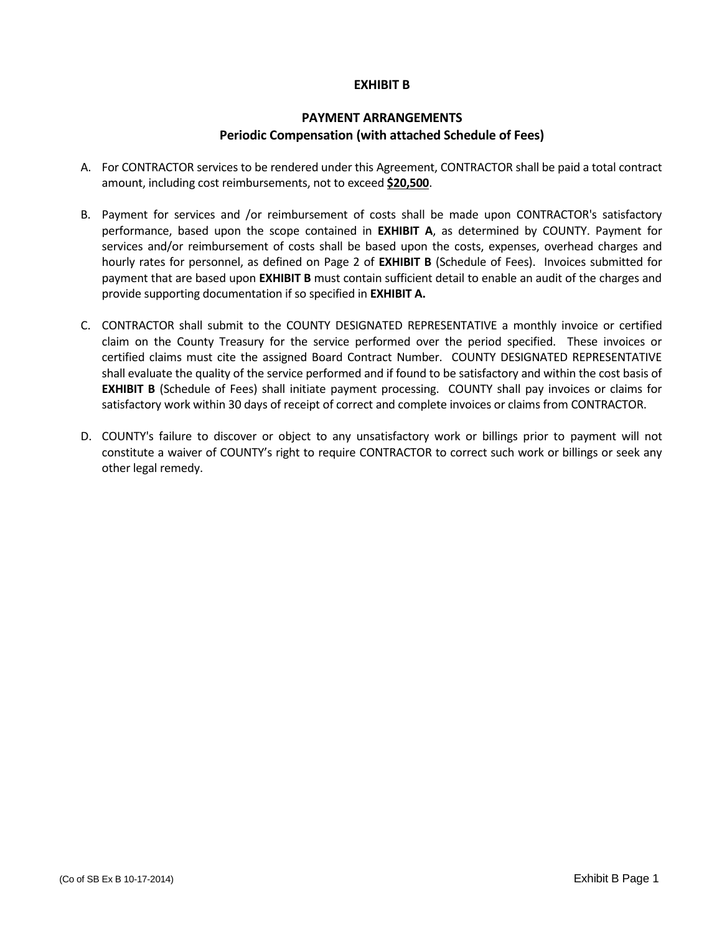# **EXHIBIT B**

# **PAYMENT ARRANGEMENTS Periodic Compensation (with attached Schedule of Fees)**

- A. For CONTRACTOR services to be rendered under this Agreement, CONTRACTOR shall be paid a total contract amount, including cost reimbursements, not to exceed **\$20,500**.
- B. Payment for services and /or reimbursement of costs shall be made upon CONTRACTOR's satisfactory performance, based upon the scope contained in **EXHIBIT A**, as determined by COUNTY. Payment for services and/or reimbursement of costs shall be based upon the costs, expenses, overhead charges and hourly rates for personnel, as defined on Page 2 of **EXHIBIT B** (Schedule of Fees). Invoices submitted for payment that are based upon **EXHIBIT B** must contain sufficient detail to enable an audit of the charges and provide supporting documentation if so specified in **EXHIBIT A.**
- C. CONTRACTOR shall submit to the COUNTY DESIGNATED REPRESENTATIVE a monthly invoice or certified claim on the County Treasury for the service performed over the period specified. These invoices or certified claims must cite the assigned Board Contract Number. COUNTY DESIGNATED REPRESENTATIVE shall evaluate the quality of the service performed and if found to be satisfactory and within the cost basis of **EXHIBIT B** (Schedule of Fees) shall initiate payment processing. COUNTY shall pay invoices or claims for satisfactory work within 30 days of receipt of correct and complete invoices or claims from CONTRACTOR.
- D. COUNTY's failure to discover or object to any unsatisfactory work or billings prior to payment will not constitute a waiver of COUNTY's right to require CONTRACTOR to correct such work or billings or seek any other legal remedy.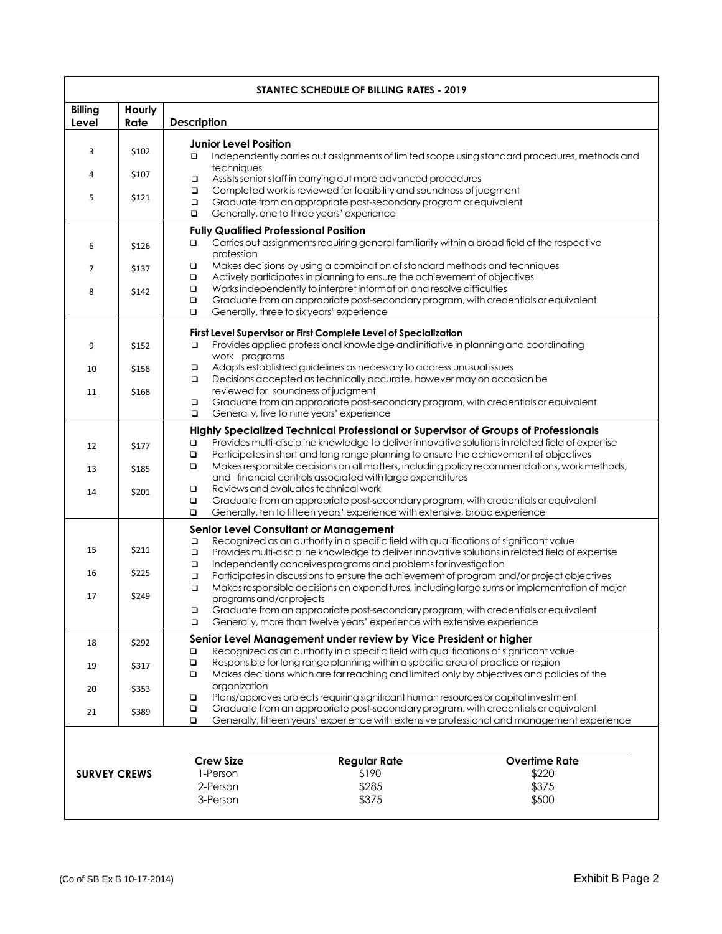| STANTEC SCHEDULE OF BILLING RATES - 2019                                                                                                                                                                                                             |                         |                                                                                                                                                                                                                                                                                                                                                                                                                                                                                                                                                                                                                                                                                                                                                                                   |  |  |  |  |
|------------------------------------------------------------------------------------------------------------------------------------------------------------------------------------------------------------------------------------------------------|-------------------------|-----------------------------------------------------------------------------------------------------------------------------------------------------------------------------------------------------------------------------------------------------------------------------------------------------------------------------------------------------------------------------------------------------------------------------------------------------------------------------------------------------------------------------------------------------------------------------------------------------------------------------------------------------------------------------------------------------------------------------------------------------------------------------------|--|--|--|--|
| <b>Billing</b><br>Level                                                                                                                                                                                                                              | Hourly<br>Rate          | <b>Description</b>                                                                                                                                                                                                                                                                                                                                                                                                                                                                                                                                                                                                                                                                                                                                                                |  |  |  |  |
| 3<br>4                                                                                                                                                                                                                                               | \$102<br>\$107          | <b>Junior Level Position</b><br>Independently carries out assignments of limited scope using standard procedures, methods and<br>$\Box$<br>techniques<br>Assists senior staff in carrying out more advanced procedures<br>$\Box$<br>Completed work is reviewed for feasibility and soundness of judgment<br>$\Box$<br>Graduate from an appropriate post-secondary program or equivalent<br>$\Box$<br>Generally, one to three years' experience<br>$\Box$                                                                                                                                                                                                                                                                                                                          |  |  |  |  |
| 5                                                                                                                                                                                                                                                    | \$121                   |                                                                                                                                                                                                                                                                                                                                                                                                                                                                                                                                                                                                                                                                                                                                                                                   |  |  |  |  |
| 6                                                                                                                                                                                                                                                    | \$126                   | <b>Fully Qualified Professional Position</b><br>Carries out assignments requiring general familiarity within a broad field of the respective<br>$\Box$<br>profession                                                                                                                                                                                                                                                                                                                                                                                                                                                                                                                                                                                                              |  |  |  |  |
| 7<br>8                                                                                                                                                                                                                                               | \$137<br>\$142          | Makes decisions by using a combination of standard methods and techniques<br>$\Box$<br>Actively participates in planning to ensure the achievement of objectives<br>$\Box$<br>Works independently to interpret information and resolve difficulties<br>$\Box$<br>$\Box$<br>Graduate from an appropriate post-secondary program, with credentials or equivalent<br>Generally, three to six years' experience<br>$\Box$                                                                                                                                                                                                                                                                                                                                                             |  |  |  |  |
| 9<br>10<br>11                                                                                                                                                                                                                                        | \$152<br>\$158<br>\$168 | First Level Supervisor or First Complete Level of Specialization<br>Provides applied professional knowledge and initiative in planning and coordinating<br>$\Box$<br>work programs<br>Adapts established guidelines as necessary to address unusual issues<br>$\Box$<br>Decisions accepted as technically accurate, however may on occasion be<br>$\Box$<br>reviewed for soundness of judament<br>Graduate from an appropriate post-secondary program, with credentials or equivalent<br>$\Box$                                                                                                                                                                                                                                                                                   |  |  |  |  |
| 12<br>13<br>14                                                                                                                                                                                                                                       | \$177<br>\$185<br>\$201 | $\Box$<br>Generally, five to nine years' experience<br>Highly Specialized Technical Professional or Supervisor of Groups of Professionals<br>Provides multi-discipline knowledge to deliver innovative solutions in related field of expertise<br>□<br>Participates in short and long range planning to ensure the achievement of objectives<br>$\Box$<br>Makes responsible decisions on all matters, including policy recommendations, work methods,<br>$\Box$<br>and financial controls associated with large expenditures<br>Reviews and evaluates technical work<br>$\Box$<br>Graduate from an appropriate post-secondary program, with credentials or equivalent<br>$\Box$<br>Generally, ten to fifteen years' experience with extensive, broad experience<br>$\Box$         |  |  |  |  |
| 15<br>16                                                                                                                                                                                                                                             | \$211<br>\$225<br>\$249 | <b>Senior Level Consultant or Management</b><br>Recognized as an authority in a specific field with qualifications of significant value<br>$\Box$<br>Provides multi-discipline knowledge to deliver innovative solutions in related field of expertise<br>$\Box$<br>Independently conceives programs and problems for investigation<br>$\Box$<br>Participates in discussions to ensure the achievement of program and/or project objectives<br>$\Box$<br>$\Box$<br>Makes responsible decisions on expenditures, including large sums or implementation of major<br>programs and/or projects<br>Graduate from an appropriate post-secondary program, with credentials or equivalent<br>$\Box$<br>$\Box$<br>Generally, more than twelve years' experience with extensive experience |  |  |  |  |
| 17                                                                                                                                                                                                                                                   |                         |                                                                                                                                                                                                                                                                                                                                                                                                                                                                                                                                                                                                                                                                                                                                                                                   |  |  |  |  |
| 18                                                                                                                                                                                                                                                   | \$292                   | Senior Level Management under review by Vice President or higher<br>Recognized as an authority in a specific field with qualifications of significant value<br>□                                                                                                                                                                                                                                                                                                                                                                                                                                                                                                                                                                                                                  |  |  |  |  |
| 19                                                                                                                                                                                                                                                   | \$317                   | Responsible for long range planning within a specific area of practice or region<br>$\Box$<br>Makes decisions which are far reaching and limited only by objectives and policies of the<br>$\Box$                                                                                                                                                                                                                                                                                                                                                                                                                                                                                                                                                                                 |  |  |  |  |
| 20                                                                                                                                                                                                                                                   | \$353                   | organization<br>Plans/approves projects requiring significant human resources or capital investment<br>$\Box$<br>Graduate from an appropriate post-secondary program, with credentials or equivalent<br>$\Box$                                                                                                                                                                                                                                                                                                                                                                                                                                                                                                                                                                    |  |  |  |  |
| 21<br>\$389<br>Generally, fifteen years' experience with extensive professional and management experience<br>$\Box$<br><b>Crew Size</b><br><b>Regular Rate</b><br>\$190<br>1-Person<br><b>SURVEY CREWS</b><br>\$285<br>2-Person<br>3-Person<br>\$375 |                         | <b>Overtime Rate</b><br>\$220<br>\$375<br>\$500                                                                                                                                                                                                                                                                                                                                                                                                                                                                                                                                                                                                                                                                                                                                   |  |  |  |  |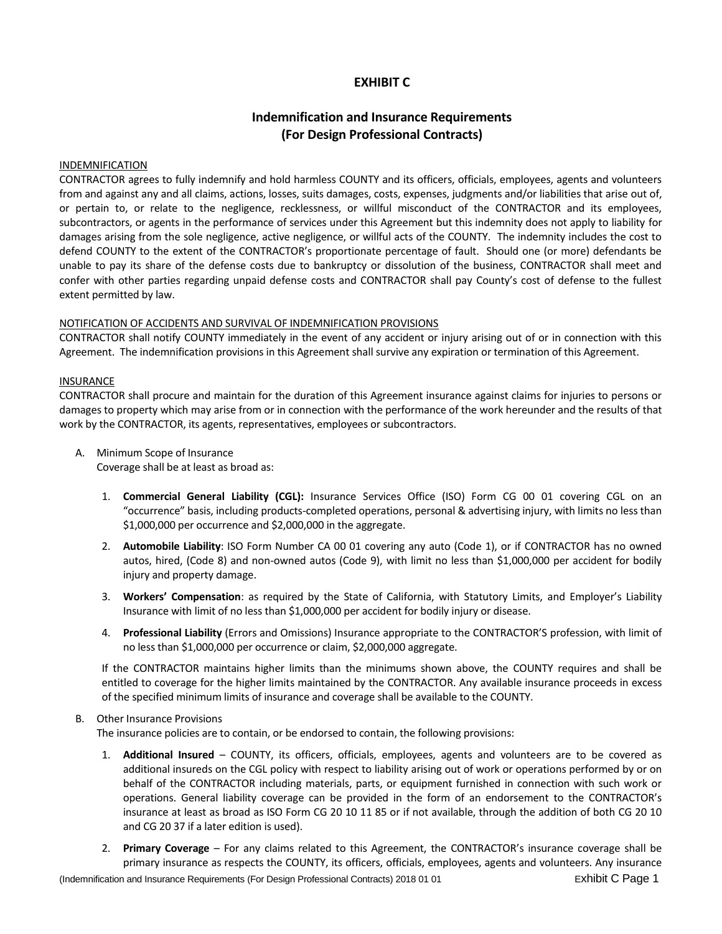# **EXHIBIT C**

# **Indemnification and Insurance Requirements (For Design Professional Contracts)**

#### INDEMNIFICATION

CONTRACTOR agrees to fully indemnify and hold harmless COUNTY and its officers, officials, employees, agents and volunteers from and against any and all claims, actions, losses, suits damages, costs, expenses, judgments and/or liabilities that arise out of, or pertain to, or relate to the negligence, recklessness, or willful misconduct of the CONTRACTOR and its employees, subcontractors, or agents in the performance of services under this Agreement but this indemnity does not apply to liability for damages arising from the sole negligence, active negligence, or willful acts of the COUNTY. The indemnity includes the cost to defend COUNTY to the extent of the CONTRACTOR's proportionate percentage of fault. Should one (or more) defendants be unable to pay its share of the defense costs due to bankruptcy or dissolution of the business, CONTRACTOR shall meet and confer with other parties regarding unpaid defense costs and CONTRACTOR shall pay County's cost of defense to the fullest extent permitted by law.

#### NOTIFICATION OF ACCIDENTS AND SURVIVAL OF INDEMNIFICATION PROVISIONS

CONTRACTOR shall notify COUNTY immediately in the event of any accident or injury arising out of or in connection with this Agreement. The indemnification provisions in this Agreement shall survive any expiration or termination of this Agreement.

#### INSURANCE

CONTRACTOR shall procure and maintain for the duration of this Agreement insurance against claims for injuries to persons or damages to property which may arise from or in connection with the performance of the work hereunder and the results of that work by the CONTRACTOR, its agents, representatives, employees or subcontractors.

A. Minimum Scope of Insurance

Coverage shall be at least as broad as:

- 1. **Commercial General Liability (CGL):** Insurance Services Office (ISO) Form CG 00 01 covering CGL on an "occurrence" basis, including products-completed operations, personal & advertising injury, with limits no less than \$1,000,000 per occurrence and \$2,000,000 in the aggregate.
- 2. **Automobile Liability**: ISO Form Number CA 00 01 covering any auto (Code 1), or if CONTRACTOR has no owned autos, hired, (Code 8) and non-owned autos (Code 9), with limit no less than \$1,000,000 per accident for bodily injury and property damage.
- 3. **Workers' Compensation**: as required by the State of California, with Statutory Limits, and Employer's Liability Insurance with limit of no less than \$1,000,000 per accident for bodily injury or disease.
- 4. **Professional Liability** (Errors and Omissions) Insurance appropriate to the CONTRACTOR'S profession, with limit of no less than \$1,000,000 per occurrence or claim, \$2,000,000 aggregate.

If the CONTRACTOR maintains higher limits than the minimums shown above, the COUNTY requires and shall be entitled to coverage for the higher limits maintained by the CONTRACTOR. Any available insurance proceeds in excess of the specified minimum limits of insurance and coverage shall be available to the COUNTY.

#### B. Other Insurance Provisions

The insurance policies are to contain, or be endorsed to contain, the following provisions:

- 1. **Additional Insured** COUNTY, its officers, officials, employees, agents and volunteers are to be covered as additional insureds on the CGL policy with respect to liability arising out of work or operations performed by or on behalf of the CONTRACTOR including materials, parts, or equipment furnished in connection with such work or operations. General liability coverage can be provided in the form of an endorsement to the CONTRACTOR's insurance at least as broad as ISO Form CG 20 10 11 85 or if not available, through the addition of both CG 20 10 and CG 20 37 if a later edition is used).
- 2. **Primary Coverage** For any claims related to this Agreement, the CONTRACTOR's insurance coverage shall be primary insurance as respects the COUNTY, its officers, officials, employees, agents and volunteers. Any insurance